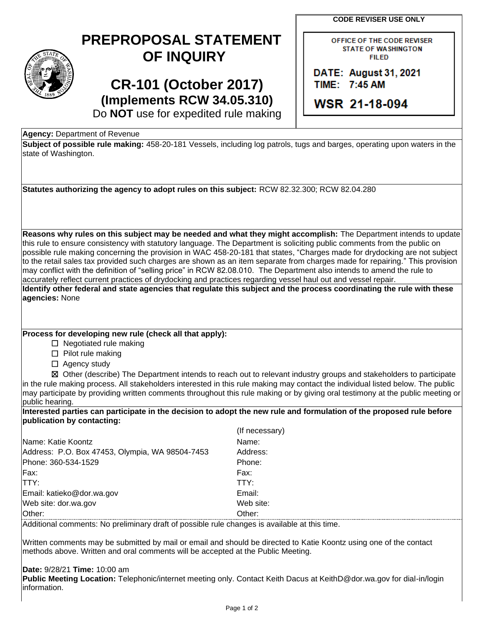**CODE REVISER USE ONLY**

| $\widehat{\text{STAT}_E}$<br>n |
|--------------------------------|
| 1889                           |

## **PREPROPOSAL STATEMENT OF INQUIRY**

**CR-101 (October 2017) (Implements RCW 34.05.310)** OFFICE OF THE CODE REVISER **STATE OF WASHINGTON FILED** 

**DATE: August 31, 2021** TIME: 7:45 AM

**WSR 21-18-094** 

Do **NOT** use for expedited rule making

**Agency:** Department of Revenue

**Subject of possible rule making:** 458-20-181 Vessels, including log patrols, tugs and barges, operating upon waters in the state of Washington.

**Statutes authorizing the agency to adopt rules on this subject:** RCW 82.32.300; RCW 82.04.280

**Reasons why rules on this subject may be needed and what they might accomplish:** The Department intends to update this rule to ensure consistency with statutory language. The Department is soliciting public comments from the public on possible rule making concerning the provision in WAC 458-20-181 that states, "Charges made for drydocking are not subject to the retail sales tax provided such charges are shown as an item separate from charges made for repairing." This provision may conflict with the definition of "selling price" in RCW 82.08.010. The Department also intends to amend the rule to accurately reflect current practices of drydocking and practices regarding vessel haul out and vessel repair.

**Identify other federal and state agencies that regulate this subject and the process coordinating the rule with these agencies:** None

## **Process for developing new rule (check all that apply):**

☐ Negotiated rule making

☐ Pilot rule making

□ Agency study

☒ Other (describe) The Department intends to reach out to relevant industry groups and stakeholders to participate in the rule making process. All stakeholders interested in this rule making may contact the individual listed below. The public may participate by providing written comments throughout this rule making or by giving oral testimony at the public meeting or public hearing.

## **Interested parties can participate in the decision to adopt the new rule and formulation of the proposed rule before publication by contacting:**

|                                                 | (If necessary) |
|-------------------------------------------------|----------------|
| Name: Katie Koontz                              | Name:          |
| Address: P.O. Box 47453, Olympia, WA 98504-7453 | Address:       |
| Phone: 360-534-1529                             | Phone:         |
| Fax:                                            | Fax:           |
| <b>ITTY:</b>                                    | TTY:           |
| Email: katieko@dor.wa.gov                       | Email:         |
| Web site: dor.wa.gov                            | Web site:      |
| Other:                                          | Other:         |

Additional comments: No preliminary draft of possible rule changes is available at this time.

Written comments may be submitted by mail or email and should be directed to Katie Koontz using one of the contact methods above. Written and oral comments will be accepted at the Public Meeting.

## **Date:** 9/28/21 **Time:** 10:00 am

**Public Meeting Location:** Telephonic/internet meeting only. Contact Keith Dacus at KeithD@dor.wa.gov for dial-in/login information.